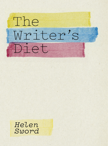# The Writer's Diet

Helen Sword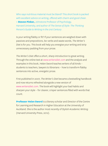Who says nutritious material must be bland? This short book is packed with excellent advice on writing, offered with charm and good cheer. **– Steven Pinker,** Johnstone Professor of Psychology, Harvard University, and author of *The Sense of Style: The Thinking Person's Guide to Writing in the 21st Century*.

Is your writing flabby or fit? If your sentences are weighed down with passives and prepositions, be-verbs and waste words, *The Writer's Diet* is for you. This book will help you energise your writing and strip unnecessary padding from your prose.

*The Writer's Diet* offers a short, sharp introduction to great writing. Through the online test at www.writersdiet.com and the analysis and examples in this book, Helen Sword teaches writers of all kinds – students to teachers, lawyers to librarians – how to transform flabby sentences into active, energetic prose.

First published in 2007, *The Writer's Diet* became a bestselling handbook and now returns refreshed alongside a new version of www.writersdiet.com. The book will highlight your bad habits and sharpen your style – for clearer, crisper sentences filled with words that count.

**Professor Helen Sword** is a literary scholar and Director of the Centre for Learning and Research in Higher Education at the University of Auckland. She is the author most recently of *Stylish Academic Writing*  (Harvard University Press, 2012).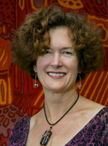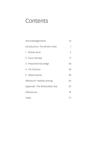# Contents

| Acknowledgements                | vii |
|---------------------------------|-----|
| Introduction: The Writer's Diet | 1   |
| 1. Verbal verve                 | 5   |
| 2. Noun density                 | 17  |
| 3. Prepositional podge          | 29  |
| 4. Ad-dictions                  | 39  |
| 5. Waste words                  | 49  |
| Afterword: Healthy writing      | 63  |
| Appendix: The WritersDiet Test  | 67  |
| References                      | 74  |
| Index                           | 77  |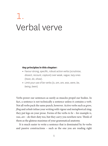# 1. Verbal verve

#### **Key principles in this chapter:**

- **•** Favour strong, specific, robust action verbs (*scrutinise*, *dissect*, *recount*, *capture*) over weak, vague, lazy ones (*have*, *do*, *show*).
- **•** Limit your use of *be*-verbs (*is*, *am*, *are*, *was*, *were*, *be*, *being*, *been*)

Verbs power our sentences as surely as muscles propel our bodies. In fact, a sentence is not technically a sentence unless it contains a verb. Not all verbs pack the same punch, however. Active verbs such as *grow*, *fling* and *exhale* infuse your writing with vigour and metaphorical zing; they put legs on your prose. Forms of the verbs *to be* – for example *is*, *was*, *are* – do their duty too, but they carry you nowhere new. Think of them as the gluteus maximus of your grammatical anatomy.

It is much easier to write a sentence that is dominated by *be-*verbs and passive constructions – such as the one you are reading right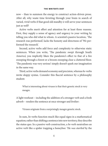#### **THE WRITER'S DIET**

now – than to summon the energy to construct action-driven prose. After all, why waste time ferreting through your brain in search of varied, vivid verbs if that good old standby *is* will serve your sentences just as well?

Active verbs merit effort and attention for at least three reasons. First, they supply a sense of agency and urgency to your writing by telling you who did what to whom. A scientist's passive locution, 'The research was performed', lacks the honesty and directness of 'We performed the research'.

Second, active verbs add force and complexity to otherwise static sentences. When you write, 'The pandemic swept through South America', you implicitly liken the pandemic's effect to that of a fire sweeping through a forest or a broom sweeping clear a cluttered floor. 'The pandemic was very serious' simply doesn't spark our imagination in the same way.

Third, active verbs demand economy and precision, whereas *be-*verbs invite sloppy syntax. Consider this flaccid sentence by a philosophy student:

What is interesting about viruses is that their genetic stock is very meagre.

A light workout – including the addition of a stronger verb and a fresh adverb – renders the sentence at once stronger and livelier:

Viruses originate from a surprisingly meagre genetic stock.

In sum, *be*-verbs function much like equal signs in a mathematical equation; rather than shifting a sentence into new territory, they describe the status quo. In a passive verb construction, a *be-*verb neutralises an active verb like a spider trapping a honeybee: 'He *was startled* by the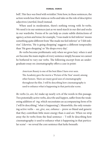#### **VERBAL VERVE**

bell'; 'Her face *was lined* with wrinkles'. Note how, in these sentences, the action words lose their status as verbs and take on the role of descriptive adjectives (*startled*, *lined*) instead.

When used in moderation, there's nothing wrong with *be-*verbs. We need *is* in our sentences just as we need starch in our diet and socks in our wardrobe. Forms of *be* can help us create subtle distinctions of agency, action and tense; for example, 'I was made to feel inferior' means something quite different from 'She made me feel inferior' or 'I felt inferior'. Likewise, 'He is going shopping' suggests a different temporality than 'He goes shopping' or 'He shops every day'.

*Be*-verbs become problematic only when we grow lazy: when *is* and *are* become the main staples of every sentence simply because we cannot be bothered to vary our verbs. The following excerpt from an undergraduate essay on cinematography offers a case in point:

*American Beauty* is one of the best films I have ever seen. The Academy gave the movie a 'Picture of the Year' award, among other honors. There are many good uses of cinematography throughout the film. I will be describing how cinematography is used to enhance what is happening in that particular scene.

*Be*-verbs (*is*, *are*, *be*) make up nearly 10% of the words in this passage. Two potentially active verbs, *describe* and *happen*, suffer from the weakening addition of -*ing*, which necessitates an accompanying form of *be* ('will *be* describing, 'what *is* happening'). Meanwhile, the only remaining active verbs – *see*, *give*, *use*, *enhance* – prove so bland and generic that they contribute little more energy than *is* and *are*. When we strip away the *be-*verbs from the final sentence – 'I will *be* describing how cinematography *is* used to enhance what *is* happening in that particular scene' – we reveal the core sentence that lurks beneath: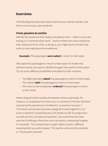# **Exercises**

The following exercises will stretch and tone your verbal muscles. Feel free to concoct your own variations.

### *From passive to active*

Identify five sentences that employ the passive voice – either in your own writing or in someone else's work – and turn them into active sentences that contain no forms of *be*. In doing so, you might have to furnish new verbs or even rephrase entire sentences.

**Example:** The passengers **were asked** to return to their seats.

Who asked the passengers to return to their seats? To render this sentence active, we need to identify the agent who performs the action. Try out some different possibilities and attend to their nuances:

- The flight attendant **asked** the passengers to return to their seats.
- The captain **told** the passengers to return to their seats.
- The voice on the loudspeaker **ordered** the passengers to return to their seats.

Nearly all good writers employ the passive voice occasionally: for instance, to emphasise the initial noun in a sentence ('His face had been scarred by the experiences of a lifetime'), to avoid an intrusive 'I' ('The book and the test have been designed to work together) or to enact a character's powerlessness ('his hands cut off, his tongue torn out with pincers, his body burned alive'). But sometimes the mere exercise of shifting to the active voice can lead to unexpected insights. For example, 'The students *were taught*' takes on quite a different meaning when you write instead, 'The teacher *instructed* the students' or 'The students *learned*'.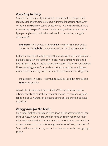## *From lazy to lively*

Select a short sample of your writing – a paragraph or a page – and identify all the verbs. Once you have eliminated the forms of *be*, what verbs remain? Many so-called 'active' verbs – words like *make*, *do* and *use* – convey no specific sense of action. Can you liven up your prose by replacing bland, predictable verbs with more precise, energetic alternatives?

**Example:** Many people in Russia **have** no skills in Internet usage. Those people **include** the young as well as the older generations.

By the time we have finished reading these opening lines from an undergraduate essay on Internet use in Russia, we are already nodding off. Rather than merely replacing *have* with *possess* – the lazy option, rather like substituting *utilise* for *use* – let's try *lack*, a verb that emphasises absence and deficiency. Next, we can fold the two sentences together:

Many people in Russia – the young as well as the older generations – **lack** Internet skills.

Why do the Russians lack Internet skills? Will this situation lead to adverse social and educational consequences? The new opening sentence makes us want to keep reading to find out the answers to these questions.

# *Energy bars for the brain*

Set a timer for five minutes and write down all the active verbs you can think of. Allow your mind to wander, romp and play. Keep your list of interesting verbs on hand whenever you sit down to write, and add to it as new ones occur to you. Like energy bars for an athlete, your stash of 'verbs with verve' will supply needed fuel when your verbal energy begins to flag.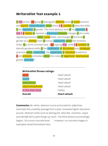# **WritersDiet Test example 1**

In this article I am going to distinguish different levels of social practice and **psychic** subjectification within which it is possible to describe shifts in the regulation of gender. The more abstract level of my argument is that it is helpful to maintain a distinction between changes in the codes regulating practices within social fields, and changes at the level of gender as a primary mark of human subjectivity within the Symbolic Order. At a more concrete level, I am arguing that, while it is possible to identify gendered shifts in the codification of disciplinary and pedagogic practices within universities, the subjectivity of individual academics is still primarily embodied within the codes of hegemonic heterosexual gender <mark>identities.</mark>9

| <b>WritersDiet fitness ratings:</b> |                     |
|-------------------------------------|---------------------|
| verbs                               | Heart attack        |
| nouns                               | Heart attack        |
| prepositions                        | Heart attack        |
| adjectives/adverbs                  | Heart attack        |
| it, this, that, there               | Flabby              |
| Overall                             | <b>Heart attack</b> |

**Comments:** *Be-*verbs, abstract nouns and academic adjectives dominate this unwieldy passage from a peer-reviewed higher education journal. Abstract verbs such as *distinguish*, *describe*, *maintain*, *argue* and *identify* fail to perk things up much. The third sentence promisingly begins, 'At a more concrete level . . .'. However, no concrete images or examples reveal themselves here.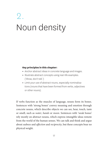# 2. Noun density

#### **Key principles in this chapter:**

- **•** Anchor abstract ideas in concrete language and images.
- **•** Illustrate abstract concepts using real-life examples. ('Show, don't tell.')
- **•** Limit your use of abstract nouns, especially nominalisations (nouns that have been formed from verbs, adjectives or other nouns).

If verbs function as the muscles of language, nouns form its bones. Sentences with 'strong bones' convey meaning and emotion through concrete nouns, which describe objects we can see, hear, touch, taste or smell, such as *water*, *hands* or *moon*. Sentences with 'weak bones' rely mostly on abstract nouns, which express intangible ideas remote from the world of the human senses. We can talk and think and argue about *sadness* and *affection* and *reciprocity*, but these concepts bear no physical weight.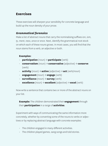# **Exercises**

These exercises will sharpen your sensibility for concrete language and build up the noun density of your prose.

# *Grammatical forensics*

Make a list of abstract nouns that carry the nominalising suffixes *ion*, *ism*, *ty*, *ment*, *ness*, *ance* or *ence*. Next, identify the grammatical root stock on which each of these nouns grows. In most cases, you will find that the noun stems from a verb, an adjective or both.

#### **Examples:**

- **participation** (noun) → **participate** (verb)
- **conservatism** (noun) → **conservative** (adjective) → **conserve**  (verb)
- **activity** (noun)  $\rightarrow$  **active** (adjective)  $\rightarrow$  **act** (verb/noun)
- **engagement** (noun) → **engage** (verb)
- **surveillance** (noun) → **survey** (verb)
- **excellence** (noun) → **excellent** (adjective) → **excel** (verb)

Now write a sentence that contains two or more of the abstract nouns on your list.

**Example:** The children demonstrated their **engagement** through their **participation** in a range of **activities**.

Experiment with ways of communicating the same information more concretely, whether by converting some of the nouns to verbs or adjectives or by replacing abstract language with concrete examples:

- The children engaged in many different activities.
- The children played games, sang songs and told stories.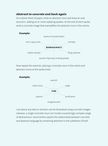## *Abstract to concrete and back again*

On a blank sheet of paper, write an abstract noun and draw an oval around it, adding six or more radiating spokes. At the end of each spoke, write a concrete image that exemplifies the abstract noun in the centre.

#### **Example:**



Now repeat the exercise, placing a concrete noun in the centre and abstract nouns at the spoke ends.

#### **Example:**



Just about any idea or emotion can be illustrated using concrete images. Likewise, a single concrete noun can invoke a surprisingly complex range of abstractions. Good writers exploit the relationship between concrete and abstract language by remaining attentive to the subtleties of both.